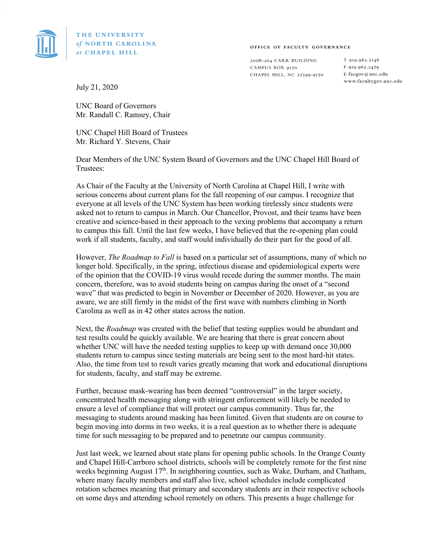

THE UNIVERSITY of NORTH CAROLINA at CHAPEL HILL

OFFICE OF FACULTY GOVERNANCE

200B-204 CARR BUILDING CAMPUS BOX 9170 CHAPEL HILL, NC 27599-9170 T 919.962.2146 F 919.962.5479 E facgov@unc.edu www.facultygov.unc.edu

July 21, 2020

UNC Board of Governors Mr. Randall C. Ramsey, Chair

UNC Chapel Hill Board of Trustees Mr. Richard Y. Stevens, Chair

Dear Members of the UNC System Board of Governors and the UNC Chapel Hill Board of Trustees:

As Chair of the Faculty at the University of North Carolina at Chapel Hill, I write with serious concerns about current plans for the fall reopening of our campus. I recognize that everyone at all levels of the UNC System has been working tirelessly since students were asked not to return to campus in March. Our Chancellor, Provost, and their teams have been creative and science-based in their approach to the vexing problems that accompany a return to campus this fall. Until the last few weeks, I have believed that the re-opening plan could work if all students, faculty, and staff would individually do their part for the good of all.

However, *The Roadmap to Fall* is based on a particular set of assumptions, many of which no longer hold. Specifically, in the spring, infectious disease and epidemiological experts were of the opinion that the COVID-19 virus would recede during the summer months. The main concern, therefore, was to avoid students being on campus during the onset of a "second wave" that was predicted to begin in November or December of 2020. However, as you are aware, we are still firmly in the midst of the first wave with numbers climbing in North Carolina as well as in 42 other states across the nation.

Next, the *Roadmap* was created with the belief that testing supplies would be abundant and test results could be quickly available. We are hearing that there is great concern about whether UNC will have the needed testing supplies to keep up with demand once 30,000 students return to campus since testing materials are being sent to the most hard-hit states. Also, the time from test to result varies greatly meaning that work and educational disruptions for students, faculty, and staff may be extreme.

Further, because mask-wearing has been deemed "controversial" in the larger society, concentrated health messaging along with stringent enforcement will likely be needed to ensure a level of compliance that will protect our campus community. Thus far, the messaging to students around masking has been limited. Given that students are on course to begin moving into dorms in two weeks, it is a real question as to whether there is adequate time for such messaging to be prepared and to penetrate our campus community.

Just last week, we learned about state plans for opening public schools. In the Orange County and Chapel Hill-Carrboro school districts, schools will be completely remote for the first nine weeks beginning August  $17<sup>th</sup>$ . In neighboring counties, such as Wake, Durham, and Chatham, where many faculty members and staff also live, school schedules include complicated rotation schemes meaning that primary and secondary students are in their respective schools on some days and attending school remotely on others. This presents a huge challenge for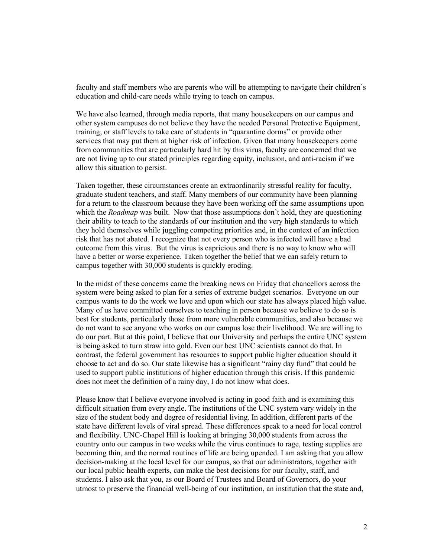faculty and staff members who are parents who will be attempting to navigate their children's education and child-care needs while trying to teach on campus.

We have also learned, through media reports, that many housekeepers on our campus and other system campuses do not believe they have the needed Personal Protective Equipment, training, or staff levels to take care of students in "quarantine dorms" or provide other services that may put them at higher risk of infection. Given that many housekeepers come from communities that are particularly hard hit by this virus, faculty are concerned that we are not living up to our stated principles regarding equity, inclusion, and anti-racism if we allow this situation to persist.

Taken together, these circumstances create an extraordinarily stressful reality for faculty, graduate student teachers, and staff. Many members of our community have been planning for a return to the classroom because they have been working off the same assumptions upon which the *Roadmap* was built. Now that those assumptions don't hold, they are questioning their ability to teach to the standards of our institution and the very high standards to which they hold themselves while juggling competing priorities and, in the context of an infection risk that has not abated. I recognize that not every person who is infected will have a bad outcome from this virus. But the virus is capricious and there is no way to know who will have a better or worse experience. Taken together the belief that we can safely return to campus together with 30,000 students is quickly eroding.

In the midst of these concerns came the breaking news on Friday that chancellors across the system were being asked to plan for a series of extreme budget scenarios. Everyone on our campus wants to do the work we love and upon which our state has always placed high value. Many of us have committed ourselves to teaching in person because we believe to do so is best for students, particularly those from more vulnerable communities, and also because we do not want to see anyone who works on our campus lose their livelihood. We are willing to do our part. But at this point, I believe that our University and perhaps the entire UNC system is being asked to turn straw into gold. Even our best UNC scientists cannot do that. In contrast, the federal government has resources to support public higher education should it choose to act and do so. Our state likewise has a significant "rainy day fund" that could be used to support public institutions of higher education through this crisis. If this pandemic does not meet the definition of a rainy day, I do not know what does.

Please know that I believe everyone involved is acting in good faith and is examining this difficult situation from every angle. The institutions of the UNC system vary widely in the size of the student body and degree of residential living. In addition, different parts of the state have different levels of viral spread. These differences speak to a need for local control and flexibility. UNC-Chapel Hill is looking at bringing 30,000 students from across the country onto our campus in two weeks while the virus continues to rage, testing supplies are becoming thin, and the normal routines of life are being upended. I am asking that you allow decision-making at the local level for our campus, so that our administrators, together with our local public health experts, can make the best decisions for our faculty, staff, and students. I also ask that you, as our Board of Trustees and Board of Governors, do your utmost to preserve the financial well-being of our institution, an institution that the state and,